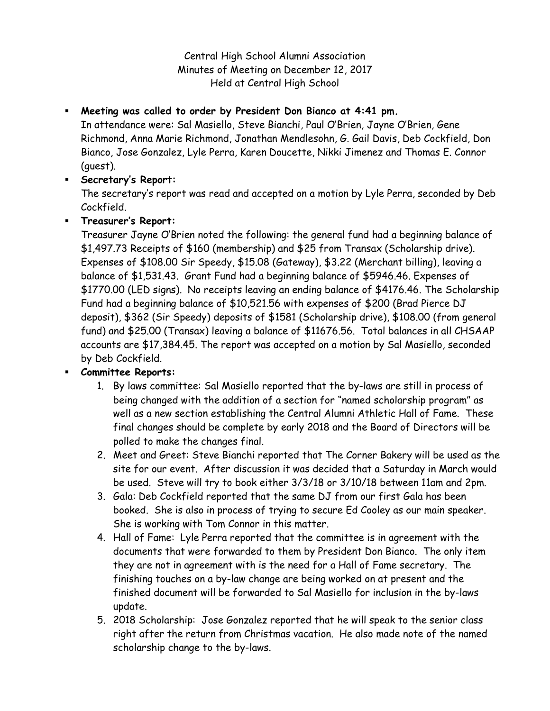Central High School Alumni Association Minutes of Meeting on December 12, 2017 Held at Central High School

## **Meeting was called to order by President Don Bianco at 4:41 pm.**

In attendance were: Sal Masiello, Steve Bianchi, Paul O'Brien, Jayne O'Brien, Gene Richmond, Anna Marie Richmond, Jonathan Mendlesohn, G. Gail Davis, Deb Cockfield, Don Bianco, Jose Gonzalez, Lyle Perra, Karen Doucette, Nikki Jimenez and Thomas E. Connor (guest).

### **Secretary's Report:**

The secretary's report was read and accepted on a motion by Lyle Perra, seconded by Deb Cockfield.

## **Treasurer's Report:**

Treasurer Jayne O'Brien noted the following: the general fund had a beginning balance of \$1,497.73 Receipts of \$160 (membership) and \$25 from Transax (Scholarship drive). Expenses of \$108.00 Sir Speedy, \$15.08 (Gateway), \$3.22 (Merchant billing), leaving a balance of \$1,531.43. Grant Fund had a beginning balance of \$5946.46. Expenses of \$1770.00 (LED signs). No receipts leaving an ending balance of \$4176.46. The Scholarship Fund had a beginning balance of \$10,521.56 with expenses of \$200 (Brad Pierce DJ deposit), \$362 (Sir Speedy) deposits of \$1581 (Scholarship drive), \$108.00 (from general fund) and \$25.00 (Transax) leaving a balance of \$11676.56. Total balances in all CHSAAP accounts are \$17,384.45. The report was accepted on a motion by Sal Masiello, seconded by Deb Cockfield.

# **Committee Reports:**

- 1. By laws committee: Sal Masiello reported that the by-laws are still in process of being changed with the addition of a section for "named scholarship program" as well as a new section establishing the Central Alumni Athletic Hall of Fame. These final changes should be complete by early 2018 and the Board of Directors will be polled to make the changes final.
- 2. Meet and Greet: Steve Bianchi reported that The Corner Bakery will be used as the site for our event. After discussion it was decided that a Saturday in March would be used. Steve will try to book either 3/3/18 or 3/10/18 between 11am and 2pm.
- 3. Gala: Deb Cockfield reported that the same DJ from our first Gala has been booked. She is also in process of trying to secure Ed Cooley as our main speaker. She is working with Tom Connor in this matter.
- 4. Hall of Fame: Lyle Perra reported that the committee is in agreement with the documents that were forwarded to them by President Don Bianco. The only item they are not in agreement with is the need for a Hall of Fame secretary. The finishing touches on a by-law change are being worked on at present and the finished document will be forwarded to Sal Masiello for inclusion in the by-laws update.
- 5. 2018 Scholarship: Jose Gonzalez reported that he will speak to the senior class right after the return from Christmas vacation. He also made note of the named scholarship change to the by-laws.